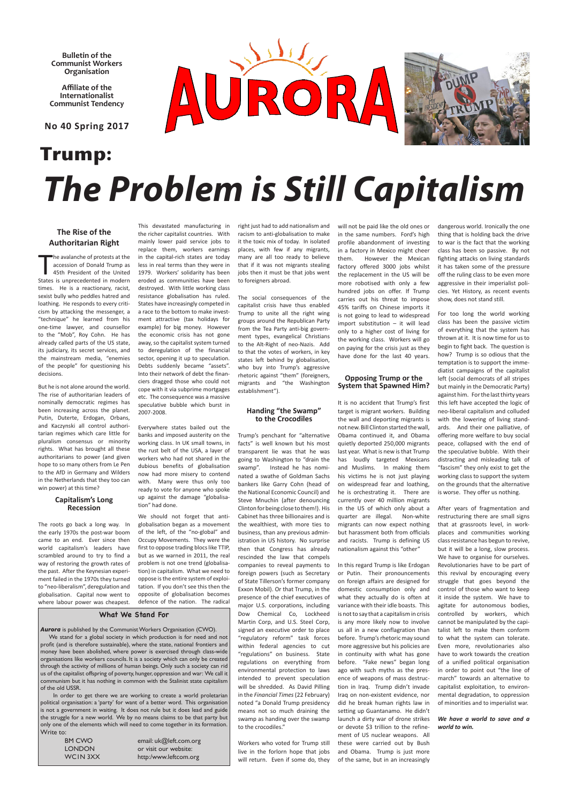**Bulletin of the Communist Workers Organisation**

**Affiliate of the Internationalist Communist Tendency** 

**No 40 Spring 2017**

### **The Rise of the Authoritarian Right**

**T** he avalanche of protests at the accession of Donald Trump as 45th President of the United States is unprecedented in modern times. He is a reactionary, racist, sexist bully who peddles hatred and loathing. He responds to every criticism by attacking the messenger, a "technique" he learned from his one-time lawyer, and counsellor to the "Mob", Roy Cohn. He has already called parts of the US state, its judiciary, its secret services, and the mainstream media, "enemies of the people" for questioning his decisions.

But he is not alone around the world. The rise of authoritarian leaders of nominally democratic regimes has been increasing across the planet. Putin, Duterte, Erdogan, Orbans, and Kaczynski all control authoritarian regimes which care little for pluralism consensus or minority rights. What has brought all these authoritarians to power (and given hope to so many others from Le Pen to the AfD in Germany and Wilders in the Netherlands that they too can win power) at this time?

#### **Capitalism's Long Recession**

The roots go back a long way. In the early 1970s the post-war boom came to an end. Ever since then world capitalism's leaders have scrambled around to try to find a way of restoring the growth rates of the past. After the Keynesian experiment failed in the 1970s they turned to "neo-liberalism", deregulation and globalisation. Capital now went to where labour power was cheapest.

This devastated manufacturing in

the richer capitalist countries. With mainly lower paid service jobs to replace them, workers earnings in the capital-rich states are today less in real terms than they were in 1979. Workers' solidarity has been eroded as communities have been destroyed. With little working class resistance globalisation has ruled. States have increasingly competed in a race to the bottom to make investment attractive (tax holidays for example) for big money. However the economic crisis has not gone away, so the capitalist system turned to deregulation of the financial sector, opening it up to speculation. Debts suddenly became "assets". Into their network of debt the financiers dragged those who could not cope with it via subprime mortgages etc. The consequence was a massive speculative bubble which burst in 2007-2008.

Everywhere states bailed out the banks and imposed austerity on the working class. In UK small towns, in the rust belt of the USA, a layer of workers who had not shared in the dubious benefits of globalisation now had more misery to contend with. Many were thus only too ready to vote for anyone who spoke up against the damage "globalisation" had done.

We should not forget that antiglobalisation began as a movement of the left, of the "no-global" and Occupy Movements. They were the first to oppose trading blocs like TTIP, but as we warned in 2011, the real problem is not one trend (globalisation) in capitalism. What we need to oppose is the entire system of exploitation. If you don't see this then the opposite of globalisation becomes defence of the nation. The radical

# **Trump:** *The Problem is Still Capitalism*

right just had to add nationalism and racism to anti-globalisation to make it the toxic mix of today. In isolated places, with few if any migrants, many are all too ready to believe that if it was not migrants stealing jobs then it must be that jobs went to foreigners abroad.

The social consequences of the capitalist crisis have thus enabled Trump to unite all the right wing groups around the Republican Party from the Tea Party anti-big government types, evangelical Christians to the Alt-Right of neo-Nazis. Add to that the votes of workers, in key states left behind by globalisation, who buy into Trump's aggressive rhetoric against "them" (foreigners, migrants and "the Washington establishment").

#### **Handing "the Swamp" to the Crocodiles**

Trump's penchant for "alternative facts" is well known but his most transparent lie was that he was going to Washington to "drain the swamp". Instead he has nominated a swathe of Goldman Sachs bankers like Garry Cohn (head of the National Economic Council) and Steve Mnuchin (after denouncing Clinton for being close to them!). His Cabinet has three billionaires and is the wealthiest, with more ties to business, than any previous administration in US history. No surprise then that Congress has already rescinded the law that compels companies to reveal payments to foreign powers (such as Secretary of State Tillerson's former company Exxon Mobil). Or that Trump, in the presence of the chief executives of major U.S. corporations, including Dow Chemical Co, Lockheed Martin Corp, and U.S. Steel Corp, signed an executive order to place "regulatory reform" task forces within federal agencies to cut "regulations" on business. State regulations on everything from environmental protection to laws intended to prevent speculation will be shredded. As David Pilling in the *Financial Times* (22 February) noted "a Donald Trump presidency means not so much draining the swamp as handing over the swamp to the crocodiles."

Aurora is published by the Communist Workers Organisation (CWO). We stand for a global society in which production is for need and not profit (and is therefore sustainable), where the state, national frontiers and money have been abolished, where power is exercised through class-wide organisations like workers councils. It is a society which can only be created through the activity of millions of human beings. Only such a society can rid us of the capitalist offspring of poverty, hunger, oppression and war: We call it communism but it has nothing in common with the Stalinist state capitalism of the old USSR.

> Workers who voted for Trump still live in the forlorn hope that jobs will return. Even if some do, they

will not be paid like the old ones or in the same numbers. Ford's high profile abandonment of investing in a factory in Mexico might cheer them. However the Mexican factory offered 3000 jobs whilst the replacement in the US will be more robotised with only a few hundred jobs on offer. If Trump carries out his threat to impose 45% tariffs on Chinese imports it is not going to lead to widespread import substitution – it will lead only to a higher cost of living for the working class. Workers will go on paying for the crisis just as they have done for the last 40 years.

#### **Opposing Trump or the System that Spawned Him?**

It is no accident that Trump's first target is migrant workers. Building the wall and deporting migrants is not new. Bill Clinton started the wall, Obama continued it, and Obama quietly deported 250,000 migrants last year. What is new is that Trump has loudly targeted Mexicans and Muslims. In making them his victims he is not just playing on widespread fear and loathing, he is orchestrating it. There are currently over 40 million migrants in the US of which only about a quarter are illegal. Non-white migrants can now expect nothing but harassment both from officials and racists. Trump is defining US nationalism against this "other"

In this regard Trump is like Erdogan or Putin. Their pronouncements on foreign affairs are designed for domestic consumption only and what they actually do is often at variance with their idle boasts. This is not to say that a capitalism in crisis is any more likely now to involve us all in a new conflagration than before. Trump's rhetoric may sound more aggressive but his policies are in continuity with what has gone before. "Fake news" began long ago with such myths as the presence of weapons of mass destruction in Iraq. Trump didn't invade Iraq on non-existent evidence, nor did he break human rights law in setting up Guantanamo. He didn't launch a dirty war of drone strikes or devote \$3 trillion to the refinement of US nuclear weapons. All these were carried out by Bush and Obama. Trump is just more of the same, but in an increasingly

dangerous world. Ironically the one thing that is holding back the drive to war is the fact that the working class has been so passive. By not fighting attacks on living standards it has taken some of the pressure off the ruling class to be even more aggressive in their imperialist policies. Yet History, as recent events show, does not stand still.

For too long the world working class has been the passive victim of everything that the system has thrown at it. It is now time for us to begin to fight back. The question is how? Trump is so odious that the temptation is to support the immediatist campaigns of the capitalist left (social democrats of all stripes but mainly in the Democratic Party) against him. For the last thirty years this left have accepted the logic of neo-liberal capitalism and colluded with the lowering of living standards. And their one palliative, of offering more welfare to buy social peace, collapsed with the end of the speculative bubble. With their distracting and misleading talk of "fascism" they only exist to get the working class to support the system on the grounds that the alternative is worse. They offer us nothing.

After years of fragmentation and restructuring there are small signs that at grassroots level, in workplaces and communities working class resistance has begun to revive, but it will be a long, slow process. We have to organise for ourselves. Revolutionaries have to be part of this revival by encouraging every struggle that goes beyond the control of those who want to keep it inside the system. We have to agitate for autonomous bodies, controlled by workers, which cannot be manipulated by the capitalist left to make them conform to what the system can tolerate. Even more, revolutionaries also have to work towards the creation of a unified political organisation in order to point out "the line of march" towards an alternative to capitalist exploitation, to environmental degradation, to oppression of minorities and to imperialist war.



#### *We have a world to save and a world to win.*

#### **What We Stand For**

 In order to get there we are working to create a world proletarian political organisation: a 'party' for want of a better word. This organisation is not a government in waiting. It does not rule but it does lead and guide the struggle for a new world. We by no means claims to be that party but only one of the elements which will need to come together in its formation. Write to:

| BM CWO   | em  |
|----------|-----|
| LONDON   | or: |
| WCIN 3XX | htt |

ail: uk@left.com.org visit our website: p:/www.leftcom.org